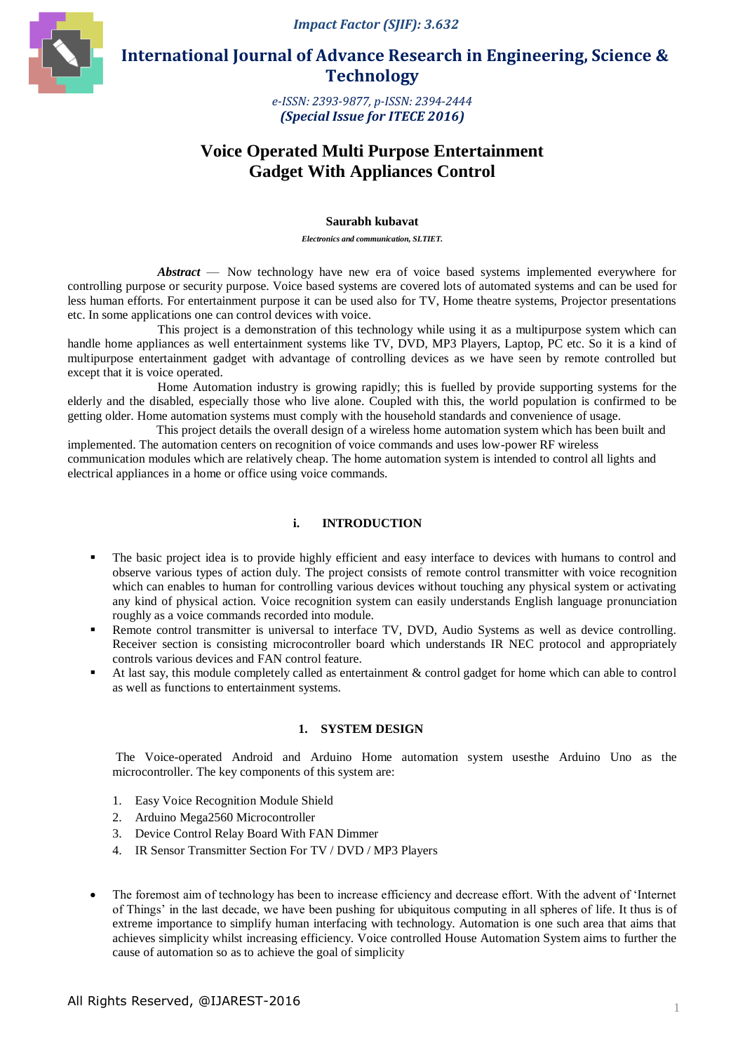*Impact Factor (SJIF): 3.632*



 **International Journal of Advance Research in Engineering, Science & Technology** 

> *e-ISSN: 2393-9877, p-ISSN: 2394-2444 (Special Issue for ITECE 2016)*

# **Voice Operated Multi Purpose Entertainment Gadget With Appliances Control**

#### **Saurabh kubavat**

*Electronics and communication, SLTIET.*

*Abstract* — Now technology have new era of voice based systems implemented everywhere for controlling purpose or security purpose. Voice based systems are covered lots of automated systems and can be used for less human efforts. For entertainment purpose it can be used also for TV, Home theatre systems, Projector presentations etc. In some applications one can control devices with voice.

This project is a demonstration of this technology while using it as a multipurpose system which can handle home appliances as well entertainment systems like TV, DVD, MP3 Players, Laptop, PC etc. So it is a kind of multipurpose entertainment gadget with advantage of controlling devices as we have seen by remote controlled but except that it is voice operated.

Home Automation industry is growing rapidly; this is fuelled by provide supporting systems for the elderly and the disabled, especially those who live alone. Coupled with this, the world population is confirmed to be getting older. Home automation systems must comply with the household standards and convenience of usage.

 This project details the overall design of a wireless home automation system which has been built and implemented. The automation centers on recognition of voice commands and uses low-power RF wireless communication modules which are relatively cheap. The home automation system is intended to control all lights and electrical appliances in a home or office using voice commands.

## **i. INTRODUCTION**

- The basic project idea is to provide highly efficient and easy interface to devices with humans to control and observe various types of action duly. The project consists of remote control transmitter with voice recognition which can enables to human for controlling various devices without touching any physical system or activating any kind of physical action. Voice recognition system can easily understands English language pronunciation roughly as a voice commands recorded into module.
- Remote control transmitter is universal to interface TV, DVD, Audio Systems as well as device controlling. Receiver section is consisting microcontroller board which understands IR NEC protocol and appropriately controls various devices and FAN control feature.
- At last say, this module completely called as entertainment & control gadget for home which can able to control as well as functions to entertainment systems.

### **1. SYSTEM DESIGN**

The Voice-operated Android and Arduino Home automation system usesthe Arduino Uno as the microcontroller. The key components of this system are:

- 1. Easy Voice Recognition Module Shield
- 2. Arduino Mega2560 Microcontroller
- 3. Device Control Relay Board With FAN Dimmer
- 4. IR Sensor Transmitter Section For TV / DVD / MP3 Players
- The foremost aim of technology has been to increase efficiency and decrease effort. With the advent of "Internet of Things" in the last decade, we have been pushing for ubiquitous computing in all spheres of life. It thus is of extreme importance to simplify human interfacing with technology. Automation is one such area that aims that achieves simplicity whilst increasing efficiency. Voice controlled House Automation System aims to further the cause of automation so as to achieve the goal of simplicity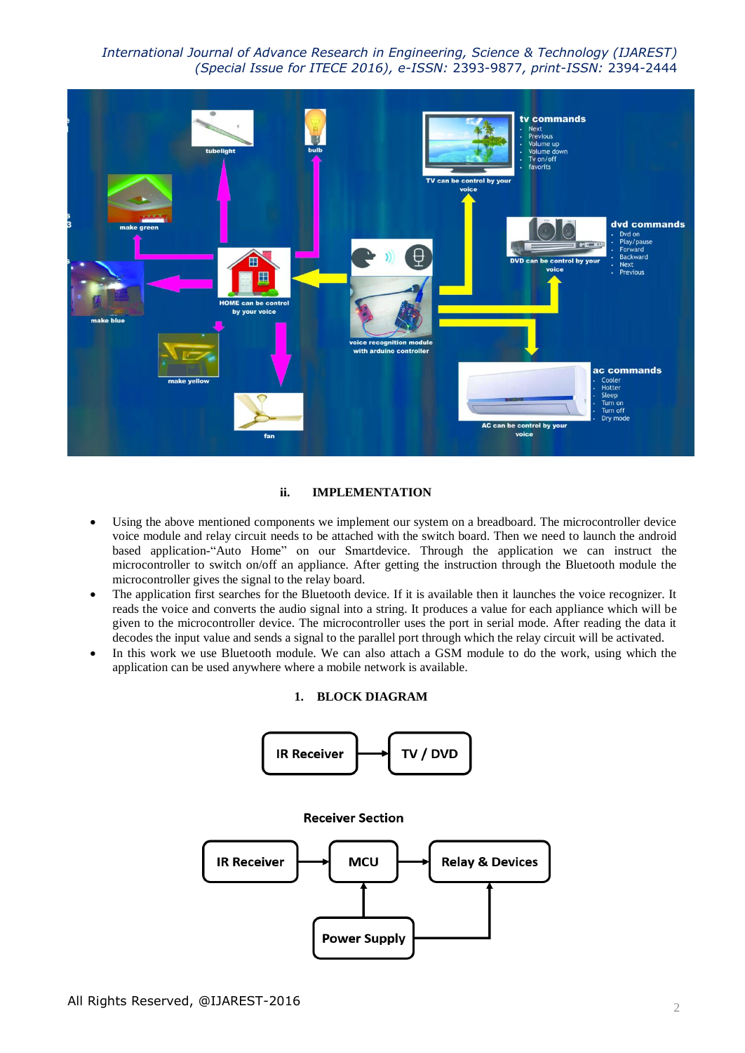*International Journal of Advance Research in Engineering, Science & Technology (IJAREST) (Special Issue for ITECE 2016), e-ISSN:* 2393-9877*, print-ISSN:* 2394-2444



### **ii. IMPLEMENTATION**

- Using the above mentioned components we implement our system on a breadboard. The microcontroller device voice module and relay circuit needs to be attached with the switch board. Then we need to launch the android based application-"Auto Home" on our Smartdevice. Through the application we can instruct the microcontroller to switch on/off an appliance. After getting the instruction through the Bluetooth module the microcontroller gives the signal to the relay board.
- The application first searches for the Bluetooth device. If it is available then it launches the voice recognizer. It reads the voice and converts the audio signal into a string. It produces a value for each appliance which will be given to the microcontroller device. The microcontroller uses the port in serial mode. After reading the data it decodes the input value and sends a signal to the parallel port through which the relay circuit will be activated.
- In this work we use Bluetooth module. We can also attach a GSM module to do the work, using which the application can be used anywhere where a mobile network is available.

#### **1. BLOCK DIAGRAM**

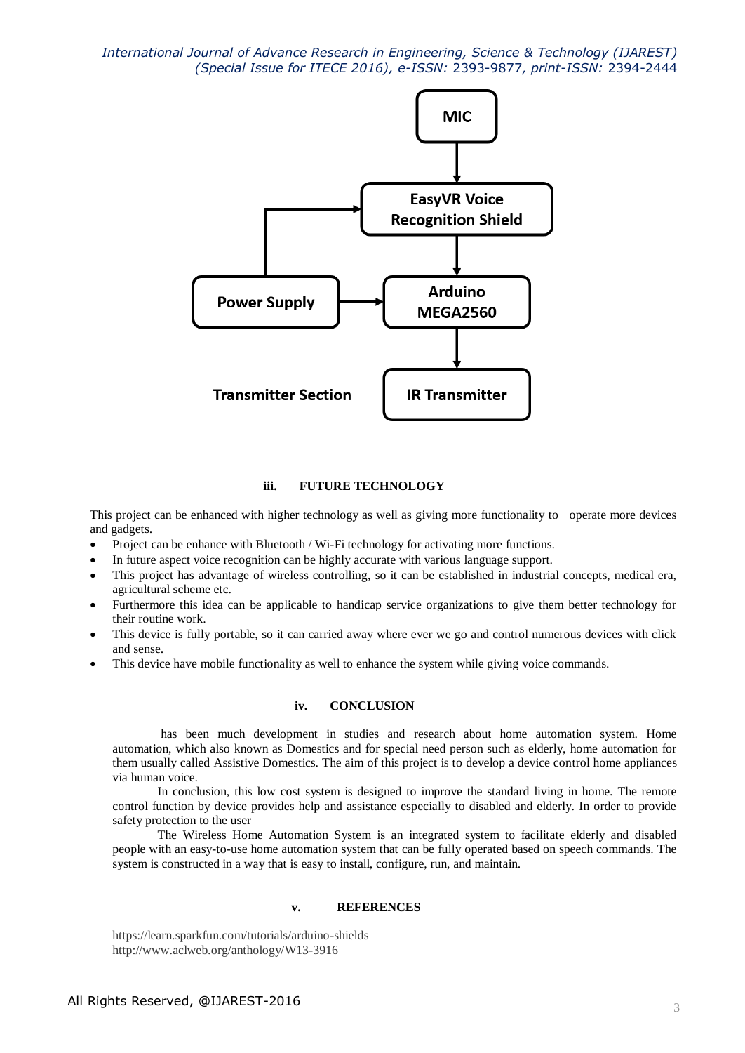*International Journal of Advance Research in Engineering, Science & Technology (IJAREST) (Special Issue for ITECE 2016), e-ISSN:* 2393-9877*, print-ISSN:* 2394-2444



## **iii. FUTURE TECHNOLOGY**

This project can be enhanced with higher technology as well as giving more functionality to operate more devices and gadgets.

- Project can be enhance with Bluetooth / Wi-Fi technology for activating more functions.
- In future aspect voice recognition can be highly accurate with various language support.
- This project has advantage of wireless controlling, so it can be established in industrial concepts, medical era, agricultural scheme etc.
- Furthermore this idea can be applicable to handicap service organizations to give them better technology for their routine work.
- This device is fully portable, so it can carried away where ever we go and control numerous devices with click and sense.
- This device have mobile functionality as well to enhance the system while giving voice commands.

#### **iv. CONCLUSION**

has been much development in studies and research about home automation system. Home automation, which also known as Domestics and for special need person such as elderly, home automation for them usually called Assistive Domestics. The aim of this project is to develop a device control home appliances via human voice.

In conclusion, this low cost system is designed to improve the standard living in home. The remote control function by device provides help and assistance especially to disabled and elderly. In order to provide safety protection to the user

The Wireless Home Automation System is an integrated system to facilitate elderly and disabled people with an easy-to-use home automation system that can be fully operated based on speech commands. The system is constructed in a way that is easy to install, configure, run, and maintain.

#### **v. REFERENCES**

https://learn.sparkfun.com/tutorials/arduino-shields http://www.aclweb.org/anthology/W13-3916